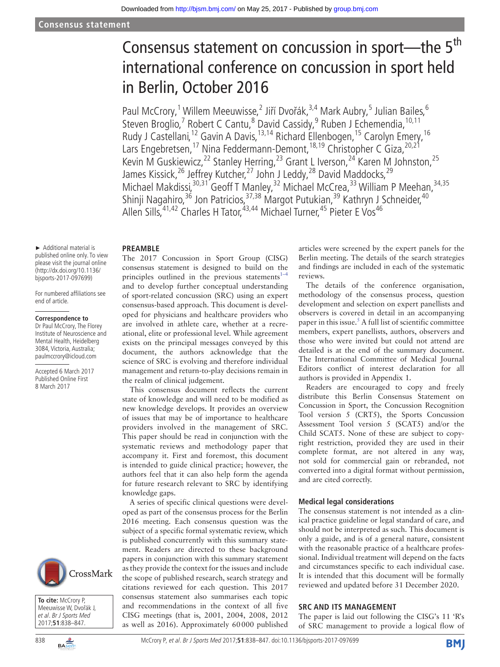# Consensus statement on concussion in sport—the 5<sup>th</sup> international conference on concussion in sport held in Berlin, October 2016

Paul McCrory,<sup>1</sup> Willem Meeuwisse,<sup>2</sup> Jiří Dvořák,<sup>3,4</sup> Mark Aubry,<sup>5</sup> Julian Bailes,<sup>6</sup> Steven Broglio,<sup>7</sup> Robert C Cantu,<sup>8</sup> David Cassidy,<sup>9</sup> Ruben J Echemendia, <sup>10,11</sup> Rudy J Castellani,<sup>12</sup> Gavin A Davis,<sup>13,14</sup> Richard Ellenbogen,<sup>15</sup> Carolyn Emery,<sup>16</sup> Lars Engebretsen,<sup>17</sup> Nina Feddermann-Demont,<sup>18,19</sup> Christopher C Giza,<sup>20,21</sup> Kevin M Guskiewicz,<sup>22</sup> Stanley Herring,<sup>23</sup> Grant L Iverson,<sup>24</sup> Karen M Johnston,<sup>25</sup> James Kissick,<sup>26</sup> Jeffrey Kutcher,<sup>27</sup> John J Leddy,<sup>28</sup> David Maddocks,<sup>29</sup> Michael Makdissi,<sup>30,31</sup> Geoff T Manley,<sup>32</sup> Michael McCrea,<sup>33</sup> William P Meehan,<sup>34,35</sup> Shinji Nagahiro,<sup>36</sup> Jon Patricios,<sup>37,38</sup> Margot Putukian,<sup>39</sup> Kathryn J Schneider,<sup>40</sup> Allen Sills, <sup>41,42</sup> Charles H Tator, <sup>43,44</sup> Michael Turner, <sup>45</sup> Pieter E Vos<sup>46</sup>

#### **Preamble**

The 2017 Concussion in Sport Group (CISG) consensus statement is designed to build on the principles outlined in the previous statements<sup>[1–4](#page-8-0)</sup> and to develop further conceptual understanding of sport-related concussion (SRC) using an expert consensus-based approach. This document is developed for physicians and healthcare providers who are involved in athlete care, whether at a recreational, elite or professional level. While agreement exists on the principal messages conveyed by this document, the authors acknowledge that the science of SRC is evolving and therefore individual management and return-to-play decisions remain in

the realm of clinical judgement.

This consensus document reflects the current state of knowledge and will need to be modified as new knowledge develops. It provides an overview of issues that may be of importance to healthcare providers involved in the management of SRC. This paper should be read in conjunction with the systematic reviews and methodology paper that accompany it. First and foremost, this document is intended to guide clinical practice; however, the authors feel that it can also help form the agenda for future research relevant to SRC by identifying knowledge gaps.

A series of specific clinical questions were developed as part of the consensus process for the Berlin 2016 meeting. Each consensus question was the subject of a specific formal systematic review, which is published concurrently with this summary statement. Readers are directed to these background papers in conjunction with this summary statement as they provide the context for the issues and include the scope of published research, search strategy and citations reviewed for each question. This 2017 consensus statement also summarises each topic and recommendations in the context of all five CISG meetings (that is, 2001, 2004, 2008, 2012 as well as 2016). Approximately 60000 published articles were screened by the expert panels for the Berlin meeting. The details of the search strategies and findings are included in each of the systematic reviews.

The details of the conference organisation, methodology of the consensus process, question development and selection on expert panellists and observers is covered in detail in an accompanying paper in this issue.<sup>5</sup> A full list of scientific committee members, expert panellists, authors, observers and those who were invited but could not attend are detailed is at the end of the summary document. The International Committee of Medical Journal Editors conflict of interest declaration for all authors is provided in Appendix 1.

Readers are encouraged to copy and freely distribute this Berlin Consensus Statement on Concussion in Sport, the Concussion Recognition Tool version 5 (CRT5), the Sports Concussion Assessment Tool version 5 (SCAT5) and/or the Child SCAT5. None of these are subject to copyright restriction, provided they are used in their complete format, are not altered in any way, not sold for commercial gain or rebranded, not converted into a digital format without permission, and are cited correctly.

#### **Medical legal considerations**

The consensus statement is not intended as a clinical practice guideline or legal standard of care, and should not be interpreted as such. This document is only a guide, and is of a general nature, consistent with the reasonable practice of a healthcare professional. Individual treatment will depend on the facts and circumstances specific to each individual case. It is intended that this document will be formally reviewed and updated before 31 December 2020.

#### **SRC and its management**

The paper is laid out following the CISG's 11 'R's of SRC management to provide a logical flow of

► Additional material is published online only. To view please visit the journal online (http://dx.doi.org/10.1136/ bjsports-2017-097699)

For numbered affiliations see end of article.

#### **Correspondence to**

Dr Paul McCrory, The Florey Institute of Neuroscience and Mental Health, Heidelberg 3084, Victoria, Australia; paulmccrory@icloud.com

Accepted 6 March 2017 Published Online First 8 March 2017





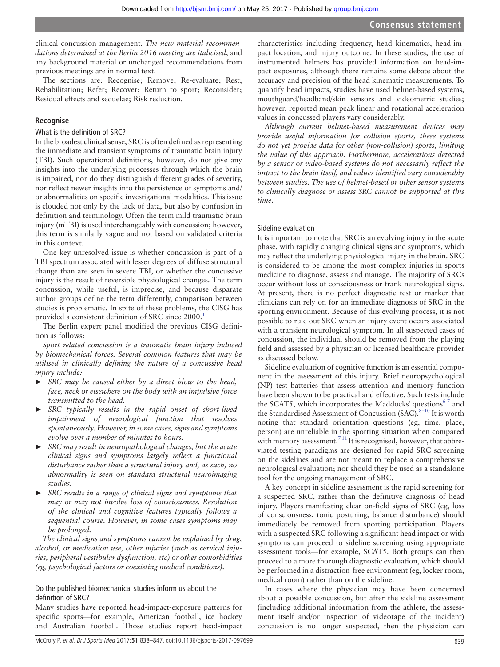clinical concussion management. *The new material recommendations determined at the Berlin 2016 meeting are italicised*, and any background material or unchanged recommendations from previous meetings are in normal text.

The sections are: Recognise; Remove; Re-evaluate; Rest; Rehabilitation; Refer; Recover; Return to sport; Reconsider; Residual effects and sequelae; Risk reduction.

#### **Recognise**

#### What is the definition of SRC?

In the broadest clinical sense, SRC is often defined as representing the immediate and transient symptoms of traumatic brain injury (TBI). Such operational definitions, however, do not give any insights into the underlying processes through which the brain is impaired, nor do they distinguish different grades of severity, nor reflect newer insights into the persistence of symptoms and/ or abnormalities on specific investigational modalities. This issue is clouded not only by the lack of data, but also by confusion in definition and terminology. Often the term mild traumatic brain injury (mTBI) is used interchangeably with concussion; however, this term is similarly vague and not based on validated criteria in this context.

One key unresolved issue is whether concussion is part of a TBI spectrum associated with lesser degrees of diffuse structural change than are seen in severe TBI, or whether the concussive injury is the result of reversible physiological changes. The term concussion, while useful, is imprecise, and because disparate author groups define the term differently, comparison between studies is problematic. In spite of these problems, the CISG has provided a consistent definition of SRC since 2000.<sup>[1](#page-8-0)</sup>

The Berlin expert panel modified the previous CISG definition as follows:

*Sport related concussion is a traumatic brain injury induced by biomechanical forces. Several common features that may be utilised in clinically defining the nature of a concussive head injury include:*

- ► *SRC may be caused either by a direct blow to the head, face, neck or elsewhere on the body with an impulsive force transmitted to the head.*
- ► *SRC typically results in the rapid onset of short-lived impairment of neurological function that resolves spontaneously. However, in some cases, signs and symptoms evolve over a number of minutes to hours.*
- ► *SRC may result in neuropathological changes, but the acute clinical signs and symptoms largely reflect a functional disturbance rather than a structural injury and, as such, no abnormality is seen on standard structural neuroimaging studies.*
- ► *SRC results in a range of clinical signs and symptoms that may or may not involve loss of consciousness. Resolution of the clinical and cognitive features typically follows a sequential course. However, in some cases symptoms may be prolonged.*

*The clinical signs and symptoms cannot be explained by drug, alcohol, or medication use, other injuries (such as cervical injuries, peripheral vestibular dysfunction, etc) or other comorbidities (eg, psychological factors or coexisting medical conditions).*

## Do the published biomechanical studies inform us about the definition of SRC?

Many studies have reported head-impact-exposure patterns for specific sports—for example, American football, ice hockey and Australian football. Those studies report head-impact characteristics including frequency, head kinematics, head-impact location, and injury outcome. In these studies, the use of instrumented helmets has provided information on head-impact exposures, although there remains some debate about the accuracy and precision of the head kinematic measurements. To quantify head impacts, studies have used helmet-based systems, mouthguard/headband/skin sensors and videometric studies; however, reported mean peak linear and rotational acceleration values in concussed players vary considerably.

*Although current helmet-based measurement devices may provide useful information for collision sports, these systems do not yet provide data for other (non-collision) sports, limiting the value of this approach. Furthermore, accelerations detected by a sensor or video-based systems do not necessarily reflect the impact to the brain itself, and values identified vary considerably between studies. The use of helmet-based or other sensor systems to clinically diagnose or assess SRC cannot be supported at this time.*

#### Sideline evaluation

It is important to note that SRC is an evolving injury in the acute phase, with rapidly changing clinical signs and symptoms, which may reflect the underlying physiological injury in the brain. SRC is considered to be among the most complex injuries in sports medicine to diagnose, assess and manage. The majority of SRCs occur without loss of consciousness or frank neurological signs. At present, there is no perfect diagnostic test or marker that clinicians can rely on for an immediate diagnosis of SRC in the sporting environment. Because of this evolving process, it is not possible to rule out SRC when an injury event occurs associated with a transient neurological symptom. In all suspected cases of concussion, the individual should be removed from the playing field and assessed by a physician or licensed healthcare provider as discussed below.

Sideline evaluation of cognitive function is an essential component in the assessment of this injury. Brief neuropsychological (NP) test batteries that assess attention and memory function have been shown to be practical and effective. Such tests include the SCAT5, which incorporates the Maddocks' questions<sup>67</sup> and the Standardised Assessment of Concussion (SAC).  $8-10$  It is worth noting that standard orientation questions (eg, time, place, person) are unreliable in the sporting situation when compared with memory assessment.<sup>711</sup> It is recognised, however, that abbreviated testing paradigms are designed for rapid SRC screening on the sidelines and are not meant to replace a comprehensive neurological evaluation; nor should they be used as a standalone tool for the ongoing management of SRC.

A key concept in sideline assessment is the rapid screening for a suspected SRC, rather than the definitive diagnosis of head injury. Players manifesting clear on-field signs of SRC (eg, loss of consciousness, tonic posturing, balance disturbance) should immediately be removed from sporting participation. Players with a suspected SRC following a significant head impact or with symptoms can proceed to sideline screening using appropriate assessment tools—for example, SCAT5. Both groups can then proceed to a more thorough diagnostic evaluation, which should be performed in a distraction-free environment (eg, locker room, medical room) rather than on the sideline.

In cases where the physician may have been concerned about a possible concussion, but after the sideline assessment (including additional information from the athlete, the assessment itself and/or inspection of videotape of the incident) concussion is no longer suspected, then the physician can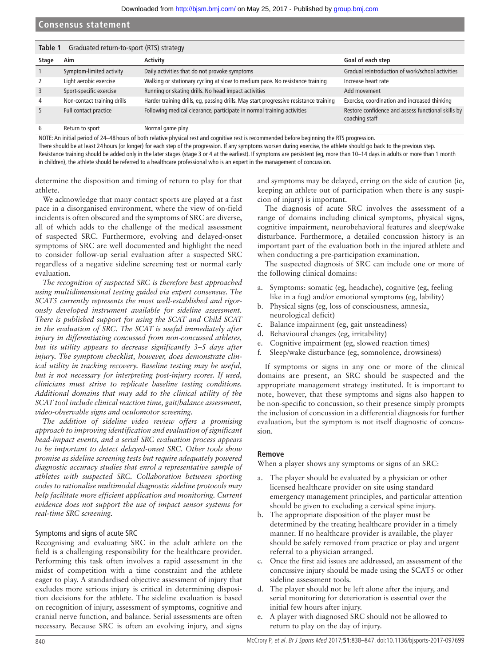<span id="page-2-0"></span>

| Graduated return-to-sport (RTS) strategy<br>Table 1 |                             |                                                                                       |                                                                      |  |  |
|-----------------------------------------------------|-----------------------------|---------------------------------------------------------------------------------------|----------------------------------------------------------------------|--|--|
| Stage                                               | Aim                         | Activity                                                                              | Goal of each step                                                    |  |  |
|                                                     | Symptom-limited activity    | Daily activities that do not provoke symptoms                                         | Gradual reintroduction of work/school activities                     |  |  |
|                                                     | Light aerobic exercise      | Walking or stationary cycling at slow to medium pace. No resistance training          | Increase heart rate                                                  |  |  |
| 3                                                   | Sport-specific exercise     | Running or skating drills. No head impact activities                                  | Add movement                                                         |  |  |
| 4                                                   | Non-contact training drills | Harder training drills, eg, passing drills. May start progressive resistance training | Exercise, coordination and increased thinking                        |  |  |
| 5                                                   | Full contact practice       | Following medical clearance, participate in normal training activities                | Restore confidence and assess functional skills by<br>coaching staff |  |  |
| 6                                                   | Return to sport             | Normal game play                                                                      |                                                                      |  |  |

NOTE: An initial period of 24–48 hours of both relative physical rest and cognitive rest is recommended before beginning the RTS progression.

There should be at least 24 hours (or longer) for each step of the progression. If any symptoms worsen during exercise, the athlete should go back to the previous step. Resistance training should be added only in the later stages (stage 3 or 4 at the earliest). If symptoms are persistent (eg, more than 10-14 days in adults or more than 1 month

in children), the athlete should be referred to a healthcare professional who is an expert in the management of concussion.

determine the disposition and timing of return to play for that athlete.

We acknowledge that many contact sports are played at a fast pace in a disorganised environment, where the view of on-field incidents is often obscured and the symptoms of SRC are diverse, all of which adds to the challenge of the medical assessment of suspected SRC. Furthermore, evolving and delayed-onset symptoms of SRC are well documented and highlight the need to consider follow-up serial evaluation after a suspected SRC regardless of a negative sideline screening test or normal early evaluation.

*The recognition of suspected SRC is therefore best approached using multidimensional testing guided via expert consensus. The SCAT5 currently represents the most well-established and rigorously developed instrument available for sideline assessment. There is published support for using the SCAT and Child SCAT in the evaluation of SRC. The SCAT is useful immediately after injury in differentiating concussed from non-concussed athletes, but its utility appears to decrease significantly 3–5 days after injury. The symptom checklist, however, does demonstrate clinical utility in tracking recovery. Baseline testing may be useful, but is not necessary for interpreting post-injury scores. If used, clinicians must strive to replicate baseline testing conditions. Additional domains that may add to the clinical utility of the SCAT tool include clinical reaction time, gait/balance assessment, video-observable signs and oculomotor screening.*

*The addition of sideline video review offers a promising approach to improving identification and evaluation of significant head-impact events, and a serial SRC evaluation process appears to be important to detect delayed-onset SRC. Other tools show promise as sideline screening tests but require adequately powered diagnostic accuracy studies that enrol a representative sample of athletes with suspected SRC. Collaboration between sporting codes to rationalise multimodal diagnostic sideline protocols may help facilitate more efficient application and monitoring. Current evidence does not support the use of impact sensor systems for real-time SRC screening.*

## Symptoms and signs of acute SRC

Recognising and evaluating SRC in the adult athlete on the field is a challenging responsibility for the healthcare provider. Performing this task often involves a rapid assessment in the midst of competition with a time constraint and the athlete eager to play. A standardised objective assessment of injury that excludes more serious injury is critical in determining disposition decisions for the athlete. The sideline evaluation is based on recognition of injury, assessment of symptoms, cognitive and cranial nerve function, and balance. Serial assessments are often necessary. Because SRC is often an evolving injury, and signs and symptoms may be delayed, erring on the side of caution (ie, keeping an athlete out of participation when there is any suspicion of injury) is important.

The diagnosis of acute SRC involves the assessment of a range of domains including clinical symptoms, physical signs, cognitive impairment, neurobehavioral features and sleep/wake disturbance. Furthermore, a detailed concussion history is an important part of the evaluation both in the injured athlete and when conducting a pre-participation examination.

The suspected diagnosis of SRC can include one or more of the following clinical domains:

- a. Symptoms: somatic (eg, headache), cognitive (eg, feeling like in a fog) and/or emotional symptoms (eg, lability)
- b. Physical signs (eg, loss of consciousness, amnesia, neurological deficit)
- c. Balance impairment (eg, gait unsteadiness)
- d. Behavioural changes (eg, irritability)
- e. Cognitive impairment (eg, slowed reaction times)
- f. Sleep/wake disturbance (eg, somnolence, drowsiness)

If symptoms or signs in any one or more of the clinical domains are present, an SRC should be suspected and the appropriate management strategy instituted. It is important to note, however, that these symptoms and signs also happen to be non-specific to concussion, so their presence simply prompts the inclusion of concussion in a differential diagnosis for further evaluation, but the symptom is not itself diagnostic of concussion.

## **Remove**

When a player shows any symptoms or signs of an SRC:

- a. The player should be evaluated by a physician or other licensed healthcare provider on site using standard emergency management principles, and particular attention should be given to excluding a cervical spine injury.
- b. The appropriate disposition of the player must be determined by the treating healthcare provider in a timely manner. If no healthcare provider is available, the player should be safely removed from practice or play and urgent referral to a physician arranged.
- c. Once the first aid issues are addressed, an assessment of the concussive injury should be made using the SCAT5 or other sideline assessment tools.
- d. The player should not be left alone after the injury, and serial monitoring for deterioration is essential over the initial few hours after injury.
- e. A player with diagnosed SRC should not be allowed to return to play on the day of injury.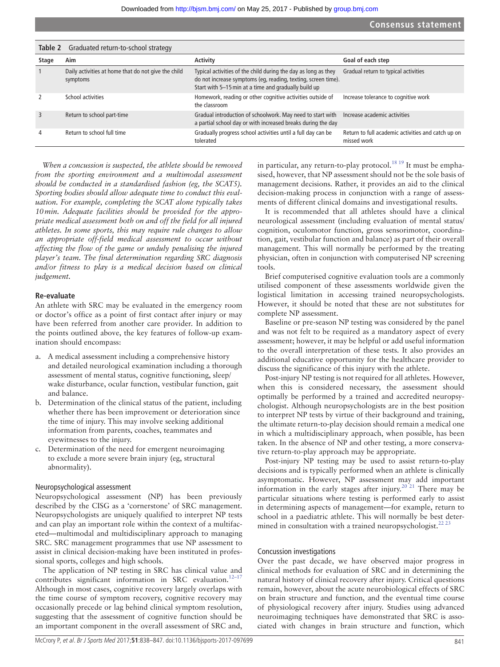<span id="page-3-0"></span>

| Table 2       | Graduated return-to-school strategy                             |                                                                                                                                                                                         |                                                                   |
|---------------|-----------------------------------------------------------------|-----------------------------------------------------------------------------------------------------------------------------------------------------------------------------------------|-------------------------------------------------------------------|
| Stage         | Aim                                                             | <b>Activity</b>                                                                                                                                                                         | Goal of each step                                                 |
|               | Daily activities at home that do not give the child<br>symptoms | Typical activities of the child during the day as long as they<br>do not increase symptoms (eq, reading, texting, screen time).<br>Start with 5-15 min at a time and gradually build up | Gradual return to typical activities                              |
| $\mathcal{P}$ | School activities                                               | Homework, reading or other cognitive activities outside of<br>the classroom                                                                                                             | Increase tolerance to cognitive work                              |
| 3             | Return to school part-time                                      | Gradual introduction of schoolwork. May need to start with<br>a partial school day or with increased breaks during the day                                                              | Increase academic activities                                      |
| 4             | Return to school full time                                      | Gradually progress school activities until a full day can be<br>tolerated                                                                                                               | Return to full academic activities and catch up on<br>missed work |

*When a concussion is suspected, the athlete should be removed from the sporting environment and a multimodal assessment should be conducted in a standardised fashion (eg, the SCAT5). Sporting bodies should allow adequate time to conduct this evaluation. For example, completing the SCAT alone typically takes 10min. Adequate facilities should be provided for the appropriate medical assessment both on and off the field for all injured athletes. In some sports, this may require rule changes to allow an appropriate off-field medical assessment to occur without affecting the flow of the game or unduly penalising the injured player's team. The final determination regarding SRC diagnosis and/or fitness to play is a medical decision based on clinical judgement.*

#### **Re-evaluate**

An athlete with SRC may be evaluated in the emergency room or doctor's office as a point of first contact after injury or may have been referred from another care provider. In addition to the points outlined above, the key features of follow-up examination should encompass:

- a. A medical assessment including a comprehensive history and detailed neurological examination including a thorough assessment of mental status, cognitive functioning, sleep/ wake disturbance, ocular function, vestibular function, gait and balance.
- b. Determination of the clinical status of the patient, including whether there has been improvement or deterioration since the time of injury. This may involve seeking additional information from parents, coaches, teammates and eyewitnesses to the injury.
- c. Determination of the need for emergent neuroimaging to exclude a more severe brain injury (eg, structural abnormality).

#### Neuropsychological assessment

Neuropsychological assessment (NP) has been previously described by the CISG as a 'cornerstone' of SRC management. Neuropsychologists are uniquely qualified to interpret NP tests and can play an important role within the context of a multifaceted—multimodal and multidisciplinary approach to managing SRC. SRC management programmes that use NP assessment to assist in clinical decision-making have been instituted in professional sports, colleges and high schools.

The application of NP testing in SRC has clinical value and contributes significant information in SRC evaluation.<sup>12-17</sup> Although in most cases, cognitive recovery largely overlaps with the time course of symptom recovery, cognitive recovery may occasionally precede or lag behind clinical symptom resolution, suggesting that the assessment of cognitive function should be an important component in the overall assessment of SRC and,

in particular, any return-to-play protocol.<sup>[18 19](#page-8-6)</sup> It must be emphasised, however, that NP assessment should not be the sole basis of management decisions. Rather, it provides an aid to the clinical decision-making process in conjunction with a range of assessments of different clinical domains and investigational results.

It is recommended that all athletes should have a clinical neurological assessment (including evaluation of mental status/ cognition, oculomotor function, gross sensorimotor, coordination, gait, vestibular function and balance) as part of their overall management. This will normally be performed by the treating physician, often in conjunction with computerised NP screening tools.

Brief computerised cognitive evaluation tools are a commonly utilised component of these assessments worldwide given the logistical limitation in accessing trained neuropsychologists. However, it should be noted that these are not substitutes for complete NP assessment.

Baseline or pre-season NP testing was considered by the panel and was not felt to be required as a mandatory aspect of every assessment; however, it may be helpful or add useful information to the overall interpretation of these tests. It also provides an additional educative opportunity for the healthcare provider to discuss the significance of this injury with the athlete.

Post-injury NP testing is not required for all athletes. However, when this is considered necessary, the assessment should optimally be performed by a trained and accredited neuropsychologist. Although neuropsychologists are in the best position to interpret NP tests by virtue of their background and training, the ultimate return-to-play decision should remain a medical one in which a multidisciplinary approach, when possible, has been taken. In the absence of NP and other testing, a more conservative return-to-play approach may be appropriate.

Post-injury NP testing may be used to assist return-to-play decisions and is typically performed when an athlete is clinically asymptomatic. However, NP assessment may add important information in the early stages after injury.<sup>20 21</sup> There may be particular situations where testing is performed early to assist in determining aspects of management—for example, return to school in a paediatric athlete. This will normally be best deter-mined in consultation with a trained neuropsychologist.<sup>[22 23](#page-8-8)</sup>

#### Concussion investigations

Over the past decade, we have observed major progress in clinical methods for evaluation of SRC and in determining the natural history of clinical recovery after injury. Critical questions remain, however, about the acute neurobiological effects of SRC on brain structure and function, and the eventual time course of physiological recovery after injury. Studies using advanced neuroimaging techniques have demonstrated that SRC is associated with changes in brain structure and function, which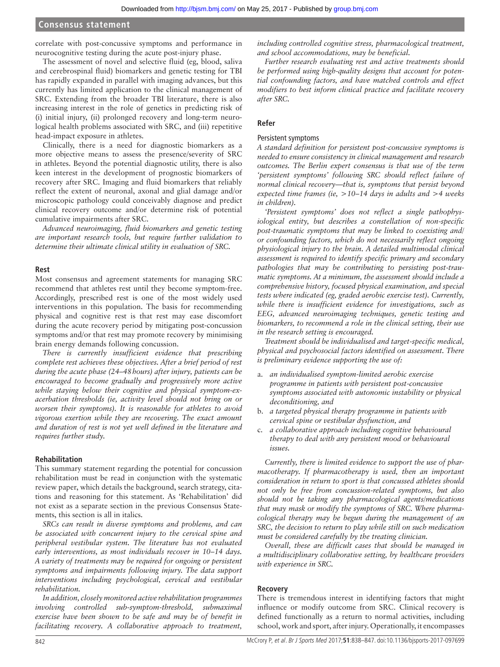correlate with post-concussive symptoms and performance in neurocognitive testing during the acute post-injury phase.

The assessment of novel and selective fluid (eg, blood, saliva and cerebrospinal fluid) biomarkers and genetic testing for TBI has rapidly expanded in parallel with imaging advances, but this currently has limited application to the clinical management of SRC. Extending from the broader TBI literature, there is also increasing interest in the role of genetics in predicting risk of (i) initial injury, (ii) prolonged recovery and long-term neurological health problems associated with SRC, and (iii) repetitive head-impact exposure in athletes.

Clinically, there is a need for diagnostic biomarkers as a more objective means to assess the presence/severity of SRC in athletes. Beyond the potential diagnostic utility, there is also keen interest in the development of prognostic biomarkers of recovery after SRC. Imaging and fluid biomarkers that reliably reflect the extent of neuronal, axonal and glial damage and/or microscopic pathology could conceivably diagnose and predict clinical recovery outcome and/or determine risk of potential cumulative impairments after SRC.

*Advanced neuroimaging, fluid biomarkers and genetic testing are important research tools, but require further validation to determine their ultimate clinical utility in evaluation of SRC.*

#### **Rest**

Most consensus and agreement statements for managing SRC recommend that athletes rest until they become symptom-free. Accordingly, prescribed rest is one of the most widely used interventions in this population. The basis for recommending physical and cognitive rest is that rest may ease discomfort during the acute recovery period by mitigating post-concussion symptoms and/or that rest may promote recovery by minimising brain energy demands following concussion.

*There is currently insufficient evidence that prescribing complete rest achieves these objectives. After a brief period of rest during the acute phase (24–48hours) after injury, patients can be encouraged to become gradually and progressively more active while staying below their cognitive and physical symptom-exacerbation thresholds (ie, activity level should not bring on or worsen their symptoms). It is reasonable for athletes to avoid vigorous exertion while they are recovering. The exact amount and duration of rest is not yet well defined in the literature and requires further study.*

#### **Rehabilitation**

This summary statement regarding the potential for concussion rehabilitation must be read in conjunction with the systematic review paper, which details the background, search strategy, citations and reasoning for this statement. As 'Rehabilitation' did not exist as a separate section in the previous Consensus Statements, this section is all in italics.

*SRCs can result in diverse symptoms and problems, and can be associated with concurrent injury to the cervical spine and peripheral vestibular system. The literature has not evaluated early interventions, as most individuals recover in 10–14 days. A variety of treatments may be required for ongoing or persistent symptoms and impairments following injury. The data support interventions including psychological, cervical and vestibular rehabilitation.*

*In addition, closely monitored active rehabilitation programmes involving controlled sub-symptom-threshold, submaximal exercise have been shown to be safe and may be of benefit in facilitating recovery. A collaborative approach to treatment,* 

*including controlled cognitive stress, pharmacological treatment, and school accommodations, may be beneficial.*

*Further research evaluating rest and active treatments should be performed using high-quality designs that account for potential confounding factors, and have matched controls and effect modifiers to best inform clinical practice and facilitate recovery after SRC.*

#### **Refer**

## Persistent symptoms

*A standard definition for persistent post-concussive symptoms is needed to ensure consistency in clinical management and research outcomes. The Berlin expert consensus is that use of the term 'persistent symptoms' following SRC should reflect failure of normal clinical recovery—that is, symptoms that persist beyond expected time frames (ie, >10–14 days in adults and >4 weeks in children).*

*'Persistent symptoms' does not reflect a single pathophysiological entity, but describes a constellation of non-specific post-traumatic symptoms that may be linked to coexisting and/ or confounding factors, which do not necessarily reflect ongoing physiological injury to the brain. A detailed multimodal clinical assessment is required to identify specific primary and secondary pathologies that may be contributing to persisting post-traumatic symptoms. At a minimum, the assessment should include a comprehensive history, focused physical examination, and special tests where indicated (eg, graded aerobic exercise test). Currently, while there is insufficient evidence for investigations, such as EEG, advanced neuroimaging techniques, genetic testing and biomarkers, to recommend a role in the clinical setting, their use in the research setting is encouraged.*

*Treatment should be individualised and target-specific medical, physical and psychosocial factors identified on assessment. There is preliminary evidence supporting the use of:*

- a. *an individualised symptom-limited aerobic exercise programme in patients with persistent post-concussive symptoms associated with autonomic instability or physical deconditioning, and*
- b. *a targeted physical therapy programme in patients with cervical spine or vestibular dysfunction, and*
- c. *a collaborative approach including cognitive behavioural therapy to deal with any persistent mood or behavioural issues.*

*Currently, there is limited evidence to support the use of pharmacotherapy. If pharmacotherapy is used, then an important consideration in return to sport is that concussed athletes should not only be free from concussion-related symptoms, but also should not be taking any pharmacological agents/medications that may mask or modify the symptoms of SRC. Where pharmacological therapy may be begun during the management of an SRC, the decision to return to play while still on such medication must be considered carefully by the treating clinician.*

*Overall, these are difficult cases that should be managed in a multidisciplinary collaborative setting, by healthcare providers with experience in SRC.*

#### **Recovery**

There is tremendous interest in identifying factors that might influence or modify outcome from SRC. Clinical recovery is defined functionally as a return to normal activities, including school, work and sport, after injury. Operationally, it encompasses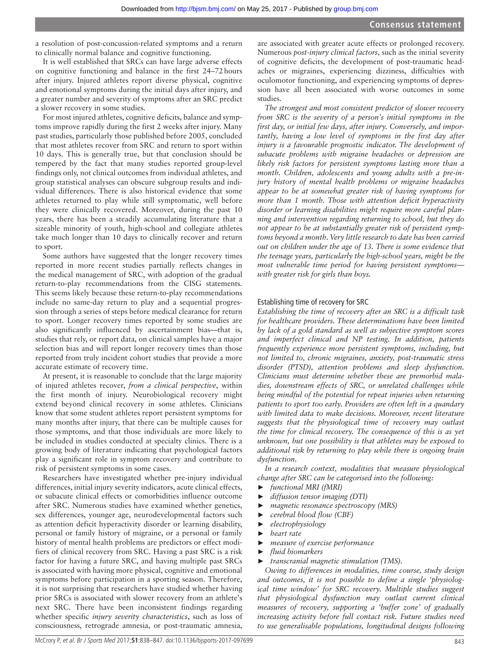a resolution of post-concussion-related symptoms and a return to clinically normal balance and cognitive functioning.

It is well established that SRCs can have large adverse effects on cognitive functioning and balance in the first 24–72hours after injury. Injured athletes report diverse physical, cognitive and emotional symptoms during the initial days after injury, and a greater number and severity of symptoms after an SRC predict a slower recovery in some studies.

For most injured athletes, cognitive deficits, balance and symptoms improve rapidly during the first 2 weeks after injury. Many past studies, particularly those published before 2005, concluded that most athletes recover from SRC and return to sport within 10 days. This is generally true, but that conclusion should be tempered by the fact that many studies reported group-level findings only, not clinical outcomes from individual athletes, and group statistical analyses can obscure subgroup results and individual differences. There is also historical evidence that some athletes returned to play while still symptomatic, well before they were clinically recovered. Moreover, during the past 10 years, there has been a steadily accumulating literature that a sizeable minority of youth, high-school and collegiate athletes take much longer than 10 days to clinically recover and return to sport.

Some authors have suggested that the longer recovery times reported in more recent studies partially reflects changes in the medical management of SRC, with adoption of the gradual return-to-play recommendations from the CISG statements. This seems likely because these return-to-play recommendations include no same-day return to play and a sequential progression through a series of steps before medical clearance for return to sport. Longer recovery times reported by some studies are also significantly influenced by ascertainment bias—that is, studies that rely, or report data, on clinical samples have a major selection bias and will report longer recovery times than those reported from truly incident cohort studies that provide a more accurate estimate of recovery time.

At present, it is reasonable to conclude that the large majority of injured athletes recover, *from a clinical perspective*, within the first month of injury. Neurobiological recovery might extend beyond clinical recovery in some athletes. Clinicians know that some student athletes report persistent symptoms for many months after injury, that there can be multiple causes for those symptoms, and that those individuals are more likely to be included in studies conducted at specialty clinics. There is a growing body of literature indicating that psychological factors play a significant role in symptom recovery and contribute to risk of persistent symptoms in some cases.

Researchers have investigated whether pre-injury individual differences, initial injury severity indicators, acute clinical effects, or subacute clinical effects or comorbidities influence outcome after SRC. Numerous studies have examined whether genetics, sex differences, younger age, neurodevelopmental factors such as attention deficit hyperactivity disorder or learning disability, personal or family history of migraine, or a personal or family history of mental health problems are predictors or effect modifiers of clinical recovery from SRC. Having a past SRC is a risk factor for having a future SRC, and having multiple past SRCs is associated with having more physical, cognitive and emotional symptoms before participation in a sporting season. Therefore, it is not surprising that researchers have studied whether having prior SRCs is associated with slower recovery from an athlete's next SRC. There have been inconsistent findings regarding whether specific *injury severity characteristics*, such as loss of consciousness, retrograde amnesia, or post-traumatic amnesia,

are associated with greater acute effects or prolonged recovery. Numerous *post-injury clinical factors*, such as the initial severity of cognitive deficits, the development of post-traumatic headaches or migraines, experiencing dizziness, difficulties with oculomotor functioning, and experiencing symptoms of depression have all been associated with worse outcomes in some studies.

*The strongest and most consistent predictor of slower recovery from SRC is the severity of a person's initial symptoms in the first day, or initial few days, after injury. Conversely, and importantly, having a low level of symptoms in the first day after injury is a favourable prognostic indicator. The development of subacute problems with migraine headaches or depression are likely risk factors for persistent symptoms lasting more than a month. Children, adolescents and young adults with a pre-injury history of mental health problems or migraine headaches appear to be at somewhat greater risk of having symptoms for more than 1 month. Those with attention deficit hyperactivity disorder or learning disabilities might require more careful planning and intervention regarding returning to school, but they do not appear to be at substantially greater risk of persistent symptoms beyond a month. Very little research to date has been carried out on children under the age of 13. There is some evidence that the teenage years, particularly the high-school years, might be the most vulnerable time period for having persistent symptoms with greater risk for girls than boys.*

#### Establishing time of recovery for SRC

*Establishing the time of recovery after an SRC is a difficult task for healthcare providers. These determinations have been limited by lack of a gold standard as well as subjective symptom scores and imperfect clinical and NP testing. In addition, patients frequently experience more persistent symptoms, including, but not limited to, chronic migraines, anxiety, post-traumatic stress disorder (PTSD), attention problems and sleep dysfunction. Clinicians must determine whether these are premorbid maladies, downstream effects of SRC, or unrelated challenges while being mindful of the potential for repeat injuries when returning patients to sport too early. Providers are often left in a quandary with limited data to make decisions. Moreover, recent literature suggests that the physiological time of recovery may outlast the time for clinical recovery. The consequence of this is as yet unknown, but one possibility is that athletes may be exposed to additional risk by returning to play while there is ongoing brain dysfunction.*

*In a research context, modalities that measure physiological change after SRC can be categorised into the following:*

- ► *functional MRI (fMRI)*
- ► *diffusion tensor imaging (DTI)*
- ► *magnetic resonance spectroscopy (MRS)*
- ► *cerebral blood flow (CBF)*
- ► *electrophysiology*
- ► *heart rate*
- ► *measure of exercise performance*
- ► *fluid biomarkers*
- ► *transcranial magnetic stimulation (TMS).*

*Owing to differences in modalities, time course, study design and outcomes, it is not possible to define a single 'physiological time window' for SRC recovery. Multiple studies suggest that physiological dysfunction may outlast current clinical measures of recovery, supporting a 'buffer zone' of gradually increasing activity before full contact risk. Future studies need to use generalisable populations, longitudinal designs following*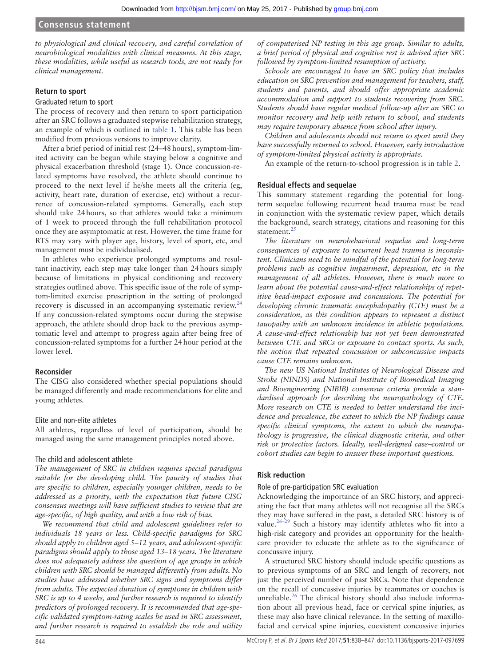*to physiological and clinical recovery, and careful correlation of neurobiological modalities with clinical measures. At this stage, these modalities, while useful as research tools, are not ready for clinical management.*

## **Return to sport**

#### Graduated return to sport

The process of recovery and then return to sport participation after an SRC follows a graduated stepwise rehabilitation strategy, an example of which is outlined in [table](#page-2-0) 1. This table has been modified from previous versions to improve clarity.

After a brief period of initial rest (24–48hours), symptom-limited activity can be begun while staying below a cognitive and physical exacerbation threshold (stage 1). Once concussion-related symptoms have resolved, the athlete should continue to proceed to the next level if he/she meets all the criteria (eg, activity, heart rate, duration of exercise, etc) without a recurrence of concussion-related symptoms. Generally, each step should take 24hours, so that athletes would take a minimum of 1 week to proceed through the full rehabilitation protocol once they are asymptomatic at rest. However, the time frame for RTS may vary with player age, history, level of sport, etc, and management must be individualised.

In athletes who experience prolonged symptoms and resultant inactivity, each step may take longer than 24hours simply because of limitations in physical conditioning and recovery strategies outlined above. This specific issue of the role of symptom-limited exercise prescription in the setting of prolonged recovery is discussed in an accompanying systematic review. $24$ If any concussion-related symptoms occur during the stepwise approach, the athlete should drop back to the previous asymptomatic level and attempt to progress again after being free of concussion-related symptoms for a further 24hour period at the lower level.

## **Reconsider**

The CISG also considered whether special populations should be managed differently and made recommendations for elite and young athletes.

## Elite and non-elite athletes

All athletes, regardless of level of participation, should be managed using the same management principles noted above.

## The child and adolescent athlete

*The management of SRC in children requires special paradigms suitable for the developing child. The paucity of studies that are specific to children, especially younger children, needs to be addressed as a priority, with the expectation that future CISG consensus meetings will have sufficient studies to review that are age-specific, of high quality, and with a low risk of bias.*

*We recommend that child and adolescent guidelines refer to individuals 18 years or less. Child-specific paradigms for SRC should apply to children aged 5–12 years, and adolescent-specific paradigms should apply to those aged 13–18 years. The literature does not adequately address the question of age groups in which children with SRC should be managed differently from adults. No studies have addressed whether SRC signs and symptoms differ from adults. The expected duration of symptoms in children with SRC is up to 4 weeks, and further research is required to identify predictors of prolonged recovery. It is recommended that age-specific validated symptom-rating scales be used in SRC assessment, and further research is required to establish the role and utility* 

*of computerised NP testing in this age group. Similar to adults, a brief period of physical and cognitive rest is advised after SRC followed by symptom-limited resumption of activity.*

*Schools are encouraged to have an SRC policy that includes education on SRC prevention and management for teachers, staff, students and parents, and should offer appropriate academic accommodation and support to students recovering from SRC. Students should have regular medical follow-up after an SRC to monitor recovery and help with return to school, and students may require temporary absence from school after injury.*

*Children and adolescents should not return to sport until they have successfully returned to school. However, early introduction of symptom-limited physical activity is appropriate.*

An example of the return-to-school progression is in [table](#page-3-0) 2.

## **Residual effects and sequelae**

This summary statement regarding the potential for longterm sequelae following recurrent head trauma must be read in conjunction with the systematic review paper, which details the background, search strategy, citations and reasoning for this statement.<sup>[25](#page-9-1)</sup>

*The literature on neurobehavioral sequelae and long-term consequences of exposure to recurrent head trauma is inconsistent. Clinicians need to be mindful of the potential for long-term problems such as cognitive impairment, depression, etc in the management of all athletes. However, there is much more to learn about the potential cause-and-effect relationships of repetitive head-impact exposure and concussions. The potential for developing chronic traumatic encephalopathy (CTE) must be a consideration, as this condition appears to represent a distinct tauopathy with an unknown incidence in athletic populations. A cause-and-effect relationship has not yet been demonstrated between CTE and SRCs or exposure to contact sports. As such, the notion that repeated concussion or subconcussive impacts cause CTE remains unknown.*

*The new US National Institutes of Neurological Disease and Stroke (NINDS) and National Institute of Biomedical Imaging and Bioengineering (NIBIB) consensus criteria provide a standardised approach for describing the neuropathology of CTE. More research on CTE is needed to better understand the incidence and prevalence, the extent to which the NP findings cause specific clinical symptoms, the extent to which the neuropathology is progressive, the clinical diagnostic criteria, and other risk or protective factors. Ideally, well-designed case–control or cohort studies can begin to answer these important questions.*

## **Risk reduction**

## Role of pre-participation SRC evaluation

Acknowledging the importance of an SRC history, and appreciating the fact that many athletes will not recognise all the SRCs they may have suffered in the past, a detailed SRC history is of value.<sup>26-29</sup> Such a history may identify athletes who fit into a high-risk category and provides an opportunity for the healthcare provider to educate the athlete as to the significance of concussive injury.

A structured SRC history should include specific questions as to previous symptoms of an SRC and length of recovery, not just the perceived number of past SRCs. Note that dependence on the recall of concussive injuries by teammates or coaches is unreliable.<sup>26</sup> The clinical history should also include information about all previous head, face or cervical spine injuries, as these may also have clinical relevance. In the setting of maxillofacial and cervical spine injuries, coexistent concussive injuries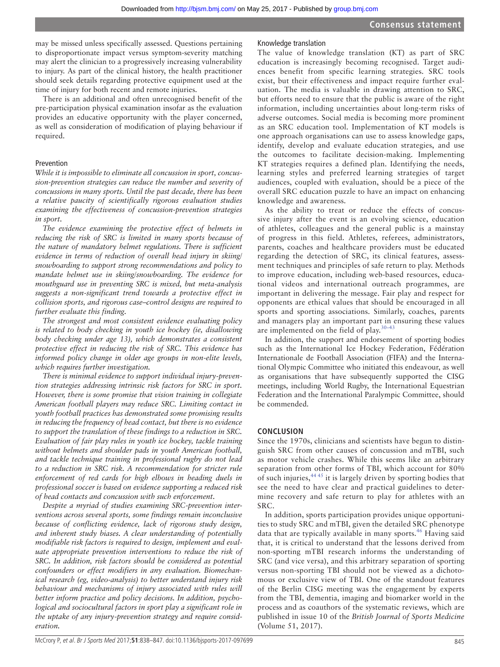may be missed unless specifically assessed. Questions pertaining to disproportionate impact versus symptom-severity matching may alert the clinician to a progressively increasing vulnerability to injury. As part of the clinical history, the health practitioner should seek details regarding protective equipment used at the time of injury for both recent and remote injuries.

There is an additional and often unrecognised benefit of the pre-participation physical examination insofar as the evaluation provides an educative opportunity with the player concerned, as well as consideration of modification of playing behaviour if required.

#### Prevention

*While it is impossible to eliminate all concussion in sport, concussion-prevention strategies can reduce the number and severity of concussions in many sports. Until the past decade, there has been a relative paucity of scientifically rigorous evaluation studies examining the effectiveness of concussion-prevention strategies in sport.*

*The evidence examining the protective effect of helmets in reducing the risk of SRC is limited in many sports because of the nature of mandatory helmet regulations. There is sufficient evidence in terms of reduction of overall head injury in skiing/ snowboarding to support strong recommendations and policy to mandate helmet use in skiing/snowboarding. The evidence for mouthguard use in preventing SRC is mixed, but meta-analysis suggests a non-significant trend towards a protective effect in collision sports, and rigorous case–control designs are required to further evaluate this finding.*

*The strongest and most consistent evidence evaluating policy is related to body checking in youth ice hockey (ie, disallowing body checking under age 13), which demonstrates a consistent protective effect in reducing the risk of SRC. This evidence has informed policy change in older age groups in non-elite levels, which requires further investigation.*

*There is minimal evidence to support individual injury-prevention strategies addressing intrinsic risk factors for SRC in sport. However, there is some promise that vision training in collegiate American football players may reduce SRC. Limiting contact in youth football practices has demonstrated some promising results in reducing the frequency of head contact, but there is no evidence to support the translation of these findings to a reduction in SRC. Evaluation of fair play rules in youth ice hockey, tackle training without helmets and shoulder pads in youth American football, and tackle technique training in professional rugby do not lead to a reduction in SRC risk. A recommendation for stricter rule enforcement of red cards for high elbows in heading duels in professional soccer is based on evidence supporting a reduced risk of head contacts and concussion with such enforcement.*

*Despite a myriad of studies examining SRC-prevention interventions across several sports, some findings remain inconclusive because of conflicting evidence, lack of rigorous study design, and inherent study biases. A clear understanding of potentially modifiable risk factors is required to design, implement and evaluate appropriate prevention interventions to reduce the risk of SRC. In addition, risk factors should be considered as potential confounders or effect modifiers in any evaluation. Biomechanical research (eg, video-analysis) to better understand injury risk behaviour and mechanisms of injury associated with rules will better inform practice and policy decisions. In addition, psychological and sociocultural factors in sport play a significant role in the uptake of any injury-prevention strategy and require consideration.*

#### Knowledge translation

The value of knowledge translation (KT) as part of SRC education is increasingly becoming recognised. Target audiences benefit from specific learning strategies. SRC tools exist, but their effectiveness and impact require further evaluation. The media is valuable in drawing attention to SRC, but efforts need to ensure that the public is aware of the right information, including uncertainties about long-term risks of adverse outcomes. Social media is becoming more prominent as an SRC education tool. Implementation of KT models is one approach organisations can use to assess knowledge gaps, identify, develop and evaluate education strategies, and use the outcomes to facilitate decision-making. Implementing KT strategies requires a defined plan. Identifying the needs, learning styles and preferred learning strategies of target audiences, coupled with evaluation, should be a piece of the overall SRC education puzzle to have an impact on enhancing knowledge and awareness.

As the ability to treat or reduce the effects of concussive injury after the event is an evolving science, education of athletes, colleagues and the general public is a mainstay of progress in this field. Athletes, referees, administrators, parents, coaches and healthcare providers must be educated regarding the detection of SRC, its clinical features, assessment techniques and principles of safe return to play. Methods to improve education, including web-based resources, educational videos and international outreach programmes, are important in delivering the message. Fair play and respect for opponents are ethical values that should be encouraged in all sports and sporting associations. Similarly, coaches, parents and managers play an important part in ensuring these values are implemented on the field of play.[30–43](#page-9-3)

In addition, the support and endorsement of sporting bodies such as the International Ice Hockey Federation, Fédération Internationale de Football Association (FIFA) and the International Olympic Committee who initiated this endeavour, as well as organisations that have subsequently supported the CISG meetings, including World Rugby, the International Equestrian Federation and the International Paralympic Committee, should be commended.

#### **Conclusion**

Since the 1970s, clinicians and scientists have begun to distinguish SRC from other causes of concussion and mTBI, such as motor vehicle crashes. While this seems like an arbitrary separation from other forms of TBI, which account for 80% of such injuries,  $44.45$  it is largely driven by sporting bodies that see the need to have clear and practical guidelines to determine recovery and safe return to play for athletes with an SRC.

In addition, sports participation provides unique opportunities to study SRC and mTBI, given the detailed SRC phenotype data that are typically available in many sports.<sup>[46](#page-9-5)</sup> Having said that, it is critical to understand that the lessons derived from non-sporting mTBI research informs the understanding of SRC (and vice versa), and this arbitrary separation of sporting versus non-sporting TBI should not be viewed as a dichotomous or exclusive view of TBI. One of the standout features of the Berlin CISG meeting was the engagement by experts from the TBI, dementia, imaging and biomarker world in the process and as coauthors of the systematic reviews, which are published in issue 10 of the *British Journal of Sports Medicine* (Volume 51, 2017).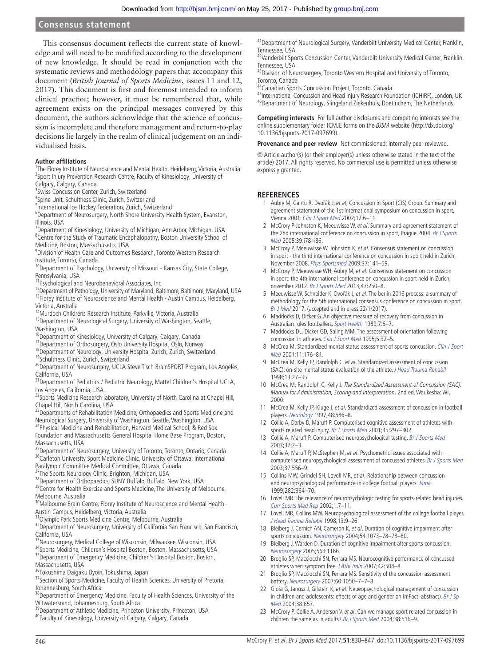This consensus document reflects the current state of knowledge and will need to be modified according to the development of new knowledge. It should be read in conjunction with the systematic reviews and methodology papers that accompany this document (*British Journal of Sports Medicine*, issues 11 and 12, 2017). This document is first and foremost intended to inform clinical practice; however, it must be remembered that, while agreement exists on the principal messages conveyed by this document, the authors acknowledge that the science of concussion is incomplete and therefore management and return-to-play decisions lie largely in the realm of clinical judgement on an individualised basis.

#### **Author affiliations**

<sup>1</sup>The Florey Institute of Neuroscience and Mental Health, Heidelberg, Victoria, Australia <sup>2</sup>Sport Injury Prevention Research Centre, Faculty of Kinesiology, University of Calgary, Calgary, Canada

<sup>3</sup> Swiss Concussion Center, Zurich, Switzerland

4 Spine Unit, Schulthess Clinic, Zurich, Switzerland

<sup>5</sup>International Ice Hockey Federation, Zurich, Switzerland

<sup>6</sup>Department of Neurosurgery, North Shore University Health System, Evanston, Illinois, USA

<sup>7</sup>Department of Kinesiology, University of Michigan, Ann Arbor, Michigan, USA <sup>8</sup>Centre for the Study of Traumatic Encephalopathy, Boston University School of Medicine, Boston, Massachusetts, USA

9 Division of Health Care and Outcomes Research, Toronto Western Research Institute, Toronto, Canada

<sup>10</sup>Department of Psychology, University of Missouri - Kansas City, State College, Pennsylvania, USA

11Psychological and Neurobehavioral Associates, Inc

 $^{12}$ Department of Pathology, University of Maryland, Baltimore, Baltimore, Maryland, USA <sup>13</sup>Florey Institute of Neuroscience and Mental Health - Austin Campus, Heidelberg, Victoria, Australia

<sup>14</sup>Murdoch Childrens Research Institute, Parkville, Victoria, Australia <sup>15</sup>Department of Neurological Surgery, University of Washington, Seattle,

Washington, USA <sup>16</sup>Department of Kinesiology, University of Calgary, Calgary, Canada

<sup>17</sup>Department of Orthosurgery, Oslo University Hospital, Oslo, Norway

<sup>18</sup>Department of Neurology, University Hospital Zurich, Zurich, Switzerland 19Schulthess Clinic, Zurich, Switzerland

<sup>20</sup>Department of Neurosurgery, UCLA Steve Tisch BrainSPORT Program, Los Angeles,

California, USA<br><sup>21</sup>Department of Pediatrics / Pediatric Neurology, Mattel Children's Hospital UCLA, Los Angeles, California, USA

22Sports Medicine Research laboratory, University of North Carolina at Chapel Hill,

Chapel Hill, North Carolina, USA<br><sup>23</sup>Departments of Rehabilitation Medicine, Orthopaedics and Sports Medicine and Neurological Surgery, University of Washington, Seattle, Washington, USA

<sup>24</sup>Physical Medicine and Rehabilitation, Harvard Medical School; & Red Sox Foundation and Massachusetts General Hospital Home Base Program, Boston, Massachusetts, USA

<sup>25</sup>Department of Neurosurgery, University of Toronto, Toronto, Ontario, Canada <sup>26</sup>Carleton University Sport Medicine Clinic, University of Ottawa, International Paralympic Committee Medical Committee, Ottawa, Canada 27The Sports Neurology Clinic, Brighton, Michigan, USA

<sup>28</sup>Department of Orthopaedics, SUNY Buffalo, Buffalo, New York, USA

<sup>29</sup>Centre for Health Exercise and Sports Medicine, The University of Melbourne, Melbourne, Australia

<sup>30</sup>Melbourne Brain Centre, Florey Institute of Neuroscience and Mental Health -

Austin Campus, Heidelberg, Victoria, Australia 31Olympic Park Sports Medicine Centre, Melbourne, Australia

<sup>32</sup>Department of Neurosurgery, University of California San Francisco, San Francisco, California, USA

<sup>33</sup>Neurosurgery, Medical College of Wisconsin, Milwaukee, Wisconsin, USA 34Sports Medicine, Children's Hospital Boston, Boston, Massachusetts, USA <sup>35</sup>Department of Emergency Medicine, Children's Hospital Boston, Boston,

Massachusetts, USA

36Tokushima Daigaku Byoin, Tokushima, Japan

37 Section of Sports Medicine, Faculty of Health Sciences, University of Pretoria, Johannesburg, South Africa

38Department of Emergency Medicine. Faculty of Health Sciences, University of the Witwatersrand, Johannesburg, South Africa

<sup>39</sup>Department of Athletic Medicine, Princeton University, Princeton, USA

40Faculty of Kinesiology, University of Calgary, Calgary, Canada

<sup>41</sup> Department of Neurological Surgery, Vanderbilt University Medical Center, Franklin,

Tennessee, USA<br><sup>42</sup>Vanderbilt Sports Concussion Center, Vanderbilt University Medical Center, Franklin, Tennessee, USA

43Division of Neurosurgery, Toronto Western Hospital and University of Toronto, Toronto, Canada

44Canadian Sports Concussion Project, Toronto, Canada

45International Concussion and Head Injury Research Foundation (ICHIRF), London, UK <sup>46</sup>Department of Neurology, Slingeland Ziekenhuis, Doetinchem, The Netherlands

**Competing interests** For full author disclosures and competing interests see the online supplementary folder ICMJE forms on the BJSM website (http://dx.doi.org/ 10.1136/bjsports-2017-097699).

**Provenance and peer review** Not commissioned; internally peer reviewed.

© Article author(s) (or their employer(s) unless otherwise stated in the text of the article) 2017. All rights reserved. No commercial use is permitted unless otherwise expressly granted.

#### **References**

- <span id="page-8-0"></span>1 Aubry M, Cantu R, Dvořák J, et al; Concussion in Sport (CIS) Group. Summary and agreement statement of the 1st international symposium on concussion in sport, Vienna 2001. [Clin J Sport Med](http://dx.doi.org/10.1097/00042752-200201000-00005) 2002;12:6–11.
- 2 McCrory P Johnston K, Meeuwisse W, et al. Summary and agreement statement of the 2nd international conference on concussion in sport, Prague 2004. Br J Sports [Med](http://dx.doi.org/10.1136/bjsm.2005.018614) 2005;39:i78–i86.
- 3 McCrory P, Meeuwisse W, Johnston K, et al. Consensus statement on concussion in sport - the third international conference on concussion in sport held in Zurich, November 2008. [Phys Sportsmed](http://dx.doi.org/10.3810/psm.2009.06.1721) 2009;37:141–59.
- 4 McCrory P, Meeuwisse WH, Aubry M, et al. Consensus statement on concussion in sport: the 4th international conference on concussion in sport held in Zurich, november 2012. [Br J Sports Med](http://dx.doi.org/10.1136/bjsports-2013-092313) 2013;47:250–8.
- <span id="page-8-1"></span>5 Meeuwisse W, Schneider K, Dvořák J, et al. The berlin 2016 process: a summary of methodology for the 5th international consensus conference on concussion in sport. Br J Med 2017. (accepted and in press 22/1/2017).
- <span id="page-8-2"></span>6 Maddocks D, Dicker G. An objective measure of recovery from concussion in Australian rules footballers. Sport Health 1989;7:6-7.
- <span id="page-8-4"></span>7 Maddocks DL, Dicker GD, Saling MM. The assessment of orientation following concussion in athletes. [Clin J Sport Med](http://dx.doi.org/10.1097/00042752-199501000-00006) 1995;5:32-5.
- <span id="page-8-3"></span>8 McCrea M. Standardized mental status assessment of sports concussion. Clin J Sport [Med](http://dx.doi.org/10.1097/00042752-200107000-00008) 2001;11:176–81.
- 9 McCrea M, Kelly JP, Randolph C, et al. Standardized assessment of concussion (SAC): on-site mental status evaluation of the athlete. *[J Head Trauma Rehabil](http://dx.doi.org/10.1097/00001199-199804000-00005)* 1998;13:27–35.
- 10 McCrea M, Randolph C, Kelly J. The Standardized Assessment of Concussion (SAC): Manual for Administration, Scoring and Interpretation. 2nd ed. Waukesha: WI, 2000.
- 11 McCrea M, Kelly JP, Kluge J, et al. Standardized assessment of concussion in football players. [Neurology](http://dx.doi.org/10.1212/WNL.48.3.586) 1997;48:586–8.
- <span id="page-8-5"></span>12 Collie A, Darby D, Maruff P. Computerised cognitive assessment of athletes with sports related head injury. [Br J Sports Med](http://dx.doi.org/10.1136/bjsm.35.5.297) 2001;35:297-302.
- 13 Collie A, Maruff P. Computerised neuropsychological testing. [Br J Sports Med](http://dx.doi.org/10.1136/bjsm.37.1.2) 2003;37:2–3.
- 14 Collie A, Maruff P, McStephen M, et al. Psychometric issues associated with computerised neuropsychological assessment of concussed athletes. [Br J Sports Med](http://dx.doi.org/10.1136/bjsm.37.6.556) 2003;37:556–9.
- 15 Collins MW, Grindel SH, Lovell MR, et al. Relationship between concussion and neuropsychological performance in college football players. [Jama](http://dx.doi.org/10.1001/jama.282.10.964) 1999;282:964–70.
- 16 Lovell MR. The relevance of neuropsychologic testing for sports-related head injuries. [Curr Sports Med Rep](http://dx.doi.org/10.1249/00149619-200202000-00003) 2002;1:7–11.
- 17 Lovell MR, Collins MW. Neuropsychological assessment of the college football player. [J Head Trauma Rehabil](http://dx.doi.org/10.1097/00001199-199804000-00004) 1998;13:9–26.
- <span id="page-8-6"></span>18 Bleiberg J, Cernich AN, Cameron K, et al. Duration of cognitive impairment after sports concussion. [Neurosurgery](http://dx.doi.org/10.1227/01.NEU.0000118820.33396.6A) 2004;54:1073–78–78–80.
- 19 Bleiberg J, Warden D. Duration of cognitive impairment after sports concussion. Neurosurgery 2005;56:E1166.
- <span id="page-8-7"></span>20 Broglio SP, Macciocchi SN, Ferrara MS. Neurocognitive performance of concussed athletes when symptom free. J Athl Train 2007;42:504–8.
- Broglio SP, Macciocchi SN, Ferrara MS. Sensitivity of the concussion assessment battery. [Neurosurgery](http://dx.doi.org/10.1227/01.NEU.0000255479.90999.C0) 2007;60:1050–7–7–8.
- <span id="page-8-8"></span>22 Gioia G, Janusz J, Gilstein K, et al. Neueopsychological management of consussion in children and adolescents: effects of age and gender on ImPact. abstract). Br J Sp Med 2004;38:657.
- 23 McCrory P, Collie A, Anderson V, et al. Can we manage sport related concussion in children the same as in adults? [Br J Sports Med](http://dx.doi.org/10.1136/bjsm.2004.014811) 2004;38:516-9.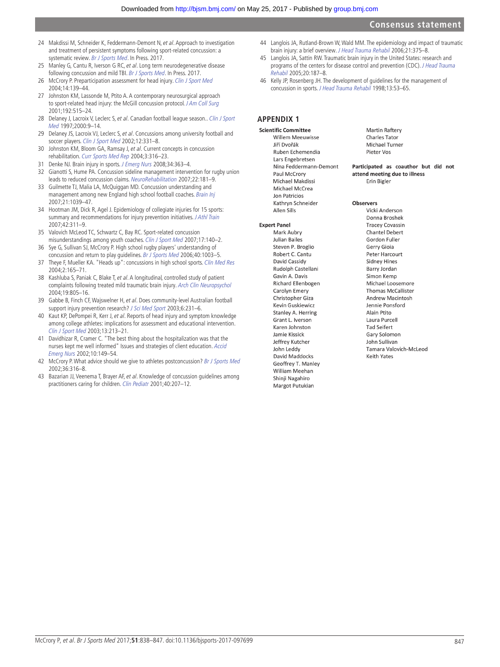- <span id="page-9-0"></span>24 Makdissi M, Schneider K, Feddermann-Demont N, et al. Approach to investigation and treatment of persistent symptoms following sport-related concussion: a systematic review. Br J Sports Med. In Press. 2017.
- <span id="page-9-1"></span>25 Manley G, Cantu R, Iverson G RC, et al. Long term neurodegenerative disease following concussion and mild TBI. Br J Sports Med. In Press. 2017.
- <span id="page-9-2"></span>26 McCrory P. Preparticipation assessment for head injury. [Clin J Sport Med](http://dx.doi.org/10.1097/00042752-200405000-00006) 2004;14:139–44.
- 27 Johnston KM, Lassonde M, Ptito A. A contemporary neurosurgical approach to sport-related head injury: the McGill concussion protocol. [J Am Coll Surg](http://dx.doi.org/10.1016/S1072-7515(01)00797-9) 2001;192:515–24.
- 28 Delaney J, Lacroix V, Leclerc S, et al. Canadian football league season.. Clin J Sport Med 1997;2000:9–14.
- 29 Delaney JS, Lacroix VJ, Leclerc S, et al. Concussions among university football and soccer players. [Clin J Sport Med](http://dx.doi.org/10.1097/00042752-200211000-00003) 2002;12:331-8.
- <span id="page-9-3"></span>30 Johnston KM, Bloom GA, Ramsay J, et al. Current concepts in concussion rehabilitation. [Curr Sports Med Rep](http://dx.doi.org/10.1249/00149619-200412000-00006) 2004;3:316–23.
- 31 Denke NJ. Brain injury in sports. [J Emerg Nurs](http://dx.doi.org/10.1016/j.jen.2008.04.013) 2008;34:363–4.
- 32 Gianotti S, Hume PA. Concussion sideline management intervention for rugby union leads to reduced concussion claims. NeuroRehabilitation 2007;22:181–9.
- 33 Guilmette TJ, Malia LA, McQuiggan MD. Concussion understanding and management among new England high school football coaches. [Brain Inj](http://dx.doi.org/10.1080/02699050701633080) 2007;21:1039–47.
- 34 Hootman JM, Dick R, Agel J. Epidemiology of collegiate injuries for 15 sports: summary and recommendations for injury prevention initiatives. J Athl Train 2007;42:311–9.
- 35 Valovich McLeod TC, Schwartz C, Bay RC. Sport-related concussion misunderstandings among youth coaches. [Clin J Sport Med](http://dx.doi.org/10.1097/JSM.0b013e31803212ae) 2007;17:140–2.
- 36 Sye G, Sullivan SJ, McCrory P. High school rugby players' understanding of concussion and return to play guidelines. [Br J Sports Med](http://dx.doi.org/10.1136/bjsm.2005.020511) 2006;40:1003-5.
- 37 Theye F, Mueller KA. "Heads up": concussions in high school sports. [Clin Med Res](http://dx.doi.org/10.3121/cmr.2.3.165) 2004;2:165–71.
- 38 Kashluba S, Paniak C, Blake T, et al. A longitudinal, controlled study of patient complaints following treated mild traumatic brain injury. [Arch Clin Neuropsychol](http://dx.doi.org/10.1016/j.acn.2003.09.005) 2004;19:805–16.
- 39 Gabbe B, Finch CF, Wajswelner H, et al. Does community-level Australian football support injury prevention research? [J Sci Med Sport](http://dx.doi.org/10.1016/S1440-2440(03)80259-1) 2003;6:231-6.
- Kaut KP, DePompei R, Kerr J, et al. Reports of head injury and symptom knowledge among college athletes: implications for assessment and educational intervention. [Clin J Sport Med](http://dx.doi.org/10.1097/00042752-200307000-00004) 2003;13:213–21.
- 41 Davidhizar R, Cramer C. "The best thing about the hospitalization was that the nurses kept me well informed" Issues and strategies of client education. [Accid](http://dx.doi.org/10.1054/aaen.2002.0365)  [Emerg Nurs](http://dx.doi.org/10.1054/aaen.2002.0365) 2002;10:149–54.
- 42 McCrory P. What advice should we give to athletes postconcussion? [Br J Sports Med](http://dx.doi.org/10.1136/bjsm.36.5.316) 2002;36:316–8.
- 43 Bazarian JJ, Veenema T, Brayer AF, et al. Knowledge of concussion guidelines among practitioners caring for children. [Clin Pediatr](http://dx.doi.org/10.1177/000992280104000405) 2001;40:207–12.
- <span id="page-9-4"></span>44 Langlois JA, Rutland-Brown W, Wald MM. The epidemiology and impact of traumatic brain injury: a brief overview. J Head Trauma Rehabil 2006;21:375-8.
- 45 Langlois JA, Sattin RW. Traumatic brain injury in the United States: research and programs of the centers for disease control and prevention (CDC). J Head Trauma Rehabil 2005;20:187–8.
- <span id="page-9-5"></span>46 Kelly JP, Rosenberg JH. The development of guidelines for the management of concussion in sports. [J Head Trauma Rehabil](http://dx.doi.org/10.1097/00001199-199804000-00008) 1998;13:53–65.

## **Appendix 1**

**Scientific Committee** Willem Meeuwisse Jiří Dvořák Ruben Echemendia Lars Engehretsen Nina Feddermann-Demont Paul McCrory Michael Makdissi Michael McCrea Jon Patricios Kathrvn Schneider **Allen Sills** 

#### **Expert Panel**

Mark Aubry **Julian Bailes** Steven P. Broglio Robert C. Cantu David Cassidy Rudolph Castellani Gavin A. Davis **Richard Ellenbogen** Carolyn Emery Christopher Giza Kevin Guskiewicz Stanley A. Herring Grant L. Iverson Karen Johnston Jamie Kissick Jeffrey Kutcher John Leddy David Maddocks Geoffrey T. Manley William Meehan Shinji Nagahiro Margot Putukian

Martin Raftery Charles Tator Michael Turner Pieter Vos

Participated as coauthor but did not attend meeting due to illness Frin Bigler

#### **Observers**

Vicki Anderson Donna Broshek **Tracey Covassin** Chantel Debert Gordon Fuller Gerry Gioja Peter Harcourt **Sidney Hines** Barry Jordan Simon Kemp Michael Loosemore **Thomas McCallister** Andrew Macintosh Jennie Ponsford Alain Ptito Laura Purcell **Tad Seifert** Gary Solomon John Sullivan Tamara Valovich-McLeod **Keith Yates**